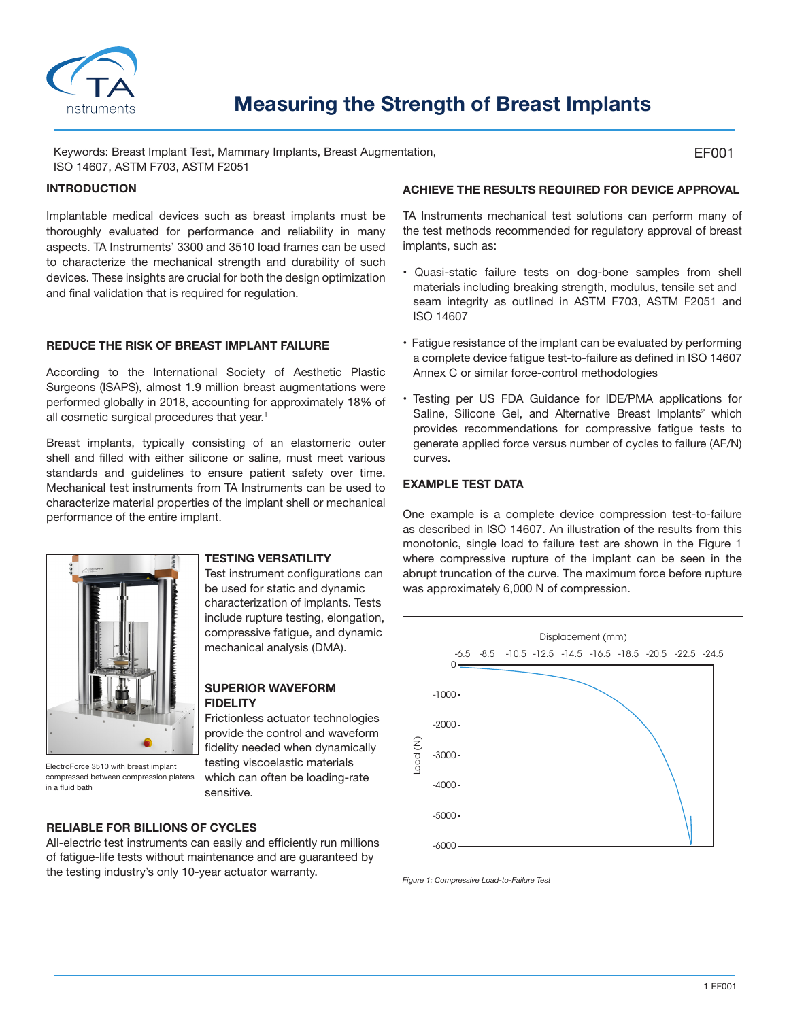

# **Measuring the Strength of Breast Implants**

Keywords: Breast Implant Test, Mammary Implants, Breast Augmentation, ISO 14607, ASTM F703, ASTM F2051

#### **INTRODUCTION**

Implantable medical devices such as breast implants must be thoroughly evaluated for performance and reliability in many aspects. TA Instruments' 3300 and 3510 load frames can be used to characterize the mechanical strength and durability of such devices. These insights are crucial for both the design optimization and final validation that is required for regulation.

#### **REDUCE THE RISK OF BREAST IMPLANT FAILURE**

According to the International Society of Aesthetic Plastic Surgeons (ISAPS), almost 1.9 million breast augmentations were performed globally in 2018, accounting for approximately 18% of all cosmetic surgical procedures that year.<sup>1</sup>

Breast implants, typically consisting of an elastomeric outer shell and filled with either silicone or saline, must meet various standards and guidelines to ensure patient safety over time. Mechanical test instruments from TA Instruments can be used to characterize material properties of the implant shell or mechanical performance of the entire implant.



compressed between compression platens

in a fluid bath

#### **TESTING VERSATILITY**

Test instrument configurations can be used for static and dynamic characterization of implants. Tests include rupture testing, elongation, compressive fatigue, and dynamic mechanical analysis (DMA).

#### **SUPERIOR WAVEFORM FIDELITY**

Frictionless actuator technologies provide the control and waveform fidelity needed when dynamically testing viscoelastic materials which can often be loading-rate sensitive.

## **RELIABLE FOR BILLIONS OF CYCLES**

All-electric test instruments can easily and efficiently run millions of fatigue-life tests without maintenance and are guaranteed by the testing industry's only 10-year actuator warranty.

### **ACHIEVE THE RESULTS REQUIRED FOR DEVICE APPROVAL**

TA Instruments mechanical test solutions can perform many of the test methods recommended for regulatory approval of breast implants, such as:

- Quasi-static failure tests on dog-bone samples from shell materials including breaking strength, modulus, tensile set and seam integrity as outlined in ASTM F703, ASTM F2051 and ISO 14607
- Fatigue resistance of the implant can be evaluated by performing a complete device fatigue test-to-failure as defined in ISO 14607 Annex C or similar force-control methodologies
- Testing per US FDA Guidance for IDE/PMA applications for Saline, Silicone Gel, and Alternative Breast Implants<sup>2</sup> which provides recommendations for compressive fatigue tests to generate applied force versus number of cycles to failure (AF/N) curves.

# **EXAMPLE TEST DATA**

One example is a complete device compression test-to-failure as described in ISO 14607. An illustration of the results from this monotonic, single load to failure test are shown in the Figure 1 where compressive rupture of the implant can be seen in the abrupt truncation of the curve. The maximum force before rupture was approximately 6,000 N of compression.



*Figure 1: Compressive Load-to-Failure Test*